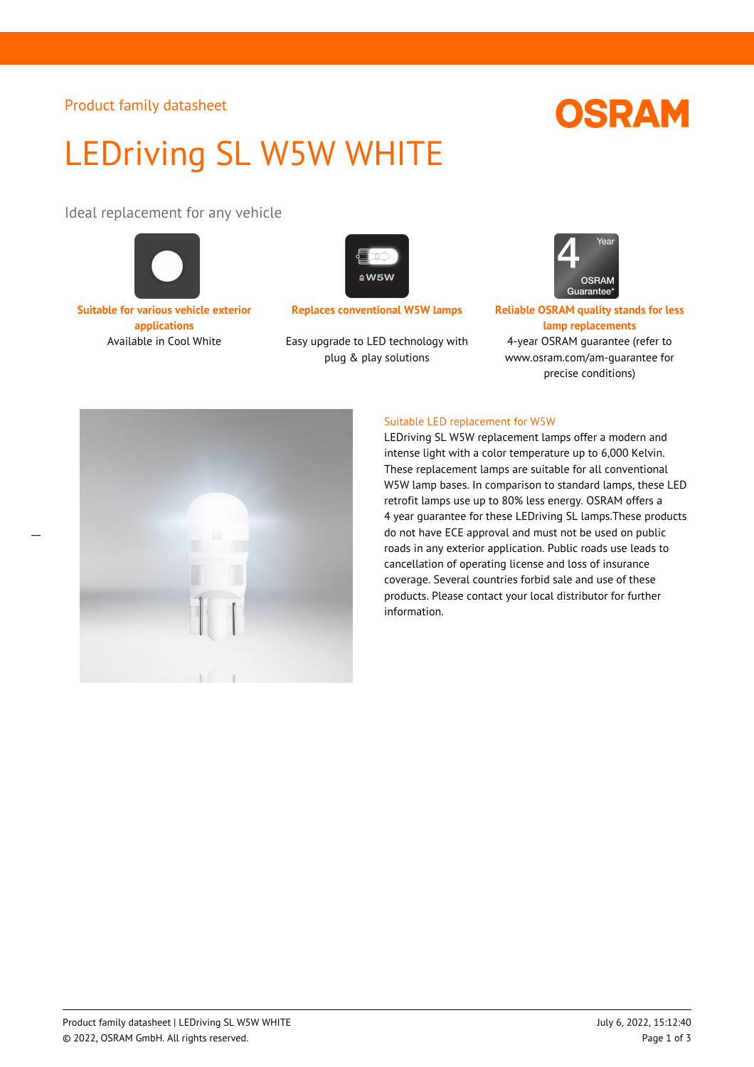#### Product family datasheet

## LEDriving SL W5W WHITE

Ideal replacement for any vehicle



**Suitable for various vehicle exterior applications**

 $\overline{a}$ 



Available in Cool White Easy upgrade to LED technology with plug & play solutions



**Replaces conventional W5W lamps Reliable OSRAM quality stands for less lamp replacements** 4-year OSRAM guarantee (refer to www.osram.com/am-guarantee for precise conditions)



#### Suitable LED replacement for W5W

LEDriving SL W5W replacement lamps offer a modern and intense light with a color temperature up to 6,000 Kelvin. These replacement lamps are suitable for all conventional W5W lamp bases. In comparison to standard lamps, these LED retrofit lamps use up to 80% less energy. OSRAM offers a 4 year guarantee for these LEDriving SL lamps.These products do not have ECE approval and must not be used on public roads in any exterior application. Public roads use leads to cancellation of operating license and loss of insurance coverage. Several countries forbid sale and use of these products. Please contact your local distributor for further information.

# **OSRAM**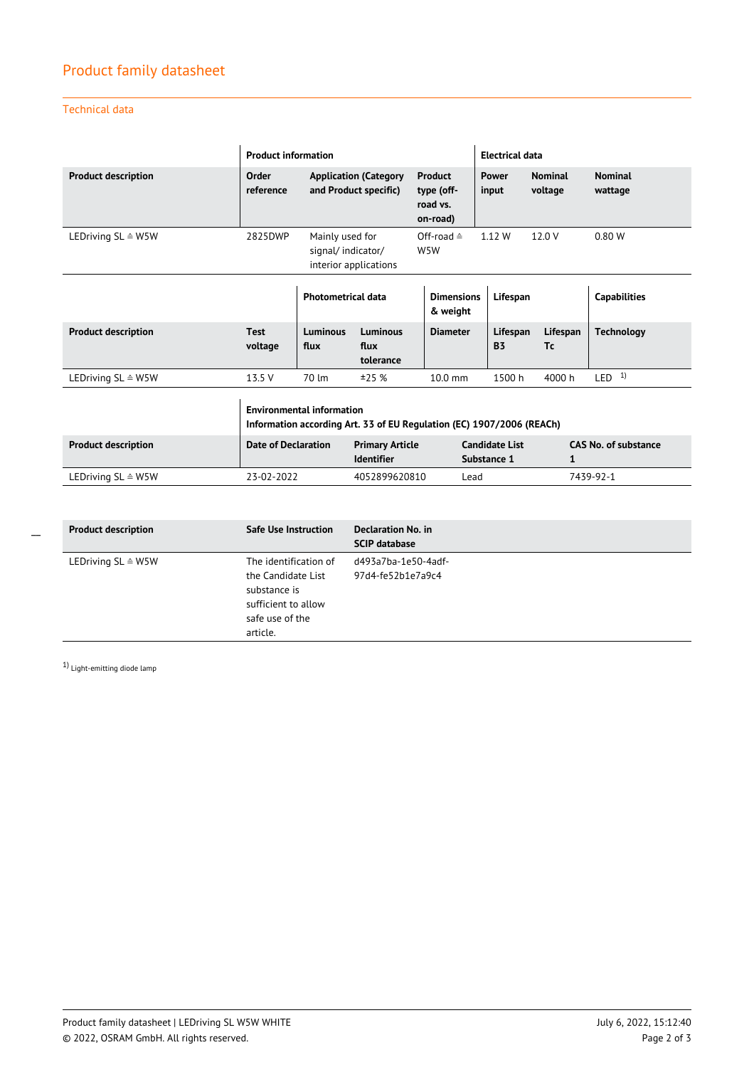### Product family datasheet

Technical data

|                               | <b>Product information</b>                                                                                |                                                                                               |                                             |                                                      |                                      | <b>Electrical data</b> |                                  |                           |  |
|-------------------------------|-----------------------------------------------------------------------------------------------------------|-----------------------------------------------------------------------------------------------|---------------------------------------------|------------------------------------------------------|--------------------------------------|------------------------|----------------------------------|---------------------------|--|
| <b>Product description</b>    | Order<br>reference                                                                                        | <b>Application (Category</b><br>and Product specific)                                         |                                             | <b>Product</b><br>type (off-<br>road vs.<br>on-road) |                                      | Power<br>input         | <b>Nominal</b><br>voltage        | <b>Nominal</b><br>wattage |  |
| LEDriving SL ≙ W5W            | 2825DWP                                                                                                   | Mainly used for<br>Off-road $\triangleq$<br>signal/indicator/<br>W5W<br>interior applications |                                             |                                                      |                                      | 1.12 W                 | 12.0 V                           | 0.80W                     |  |
|                               |                                                                                                           | <b>Photometrical data</b>                                                                     |                                             |                                                      | <b>Dimensions</b><br>& weight        |                        | Lifespan                         | <b>Capabilities</b>       |  |
| <b>Product description</b>    | <b>Test</b><br>voltage                                                                                    | Luminous<br>flux                                                                              | <b>Luminous</b><br>flux<br>tolerance        | <b>Diameter</b>                                      |                                      | Lifespan<br><b>B3</b>  | Lifespan<br>Tc                   | <b>Technology</b>         |  |
| LEDriving SL ≙ W5W            | 13.5 V                                                                                                    | 70 lm                                                                                         | ±25%                                        | $10.0$ mm                                            |                                      | 1500h                  | 4000 h                           | LED <sup>1</sup>          |  |
|                               | <b>Environmental information</b><br>Information according Art. 33 of EU Regulation (EC) 1907/2006 (REACh) |                                                                                               |                                             |                                                      |                                      |                        |                                  |                           |  |
| <b>Product description</b>    | <b>Date of Declaration</b>                                                                                |                                                                                               | <b>Primary Article</b><br><b>Identifier</b> |                                                      | <b>Candidate List</b><br>Substance 1 |                        | <b>CAS No. of substance</b><br>1 |                           |  |
| LEDriving $SL \triangleq W5W$ | 23-02-2022                                                                                                |                                                                                               | 4052899620810                               |                                                      | Lead                                 |                        | 7439-92-1                        |                           |  |

| <b>Product description</b>    | <b>Safe Use Instruction</b>                                                                                       | Declaration No. in<br><b>SCIP database</b> |
|-------------------------------|-------------------------------------------------------------------------------------------------------------------|--------------------------------------------|
| LEDriving $SL \triangleq W5W$ | The identification of<br>the Candidate List<br>substance is<br>sufficient to allow<br>safe use of the<br>article. | d493a7ba-1e50-4adf-<br>97d4-fe52b1e7a9c4   |

1) Light-emitting diode lamp

 $\overline{a}$